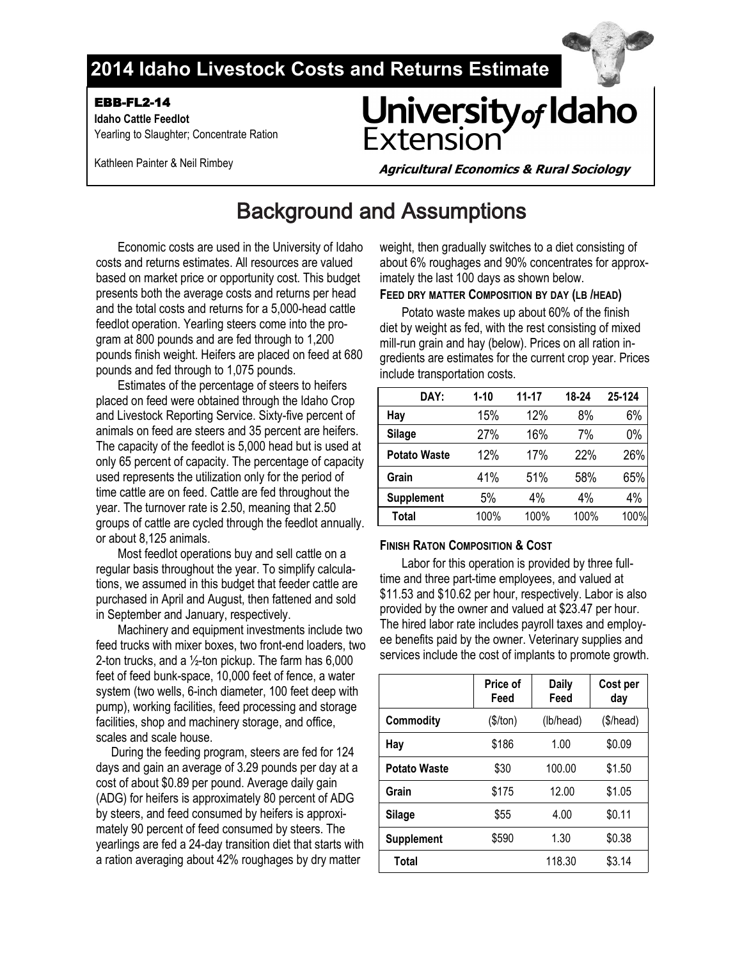## **2014 Idaho Livestock Costs and Returns Estimate**

EBB-FL2-14

 **Idaho Cattle Feedlot**  Yearling to Slaughter; Concentrate Ration University of Idaho<br>Extension

Kathleen Painter & Neil Rimbey

**Agricultural Economics & Rural Sociology**

# Background and Assumptions

Economic costs are used in the University of Idaho costs and returns estimates. All resources are valued based on market price or opportunity cost. This budget presents both the average costs and returns per head and the total costs and returns for a 5,000-head cattle feedlot operation. Yearling steers come into the program at 800 pounds and are fed through to 1,200 pounds finish weight. Heifers are placed on feed at 680 pounds and fed through to 1,075 pounds.

Estimates of the percentage of steers to heifers placed on feed were obtained through the Idaho Crop and Livestock Reporting Service. Sixty-five percent of animals on feed are steers and 35 percent are heifers. The capacity of the feedlot is 5,000 head but is used at only 65 percent of capacity. The percentage of capacity used represents the utilization only for the period of time cattle are on feed. Cattle are fed throughout the year. The turnover rate is 2.50, meaning that 2.50 groups of cattle are cycled through the feedlot annually. or about 8,125 animals.

Most feedlot operations buy and sell cattle on a regular basis throughout the year. To simplify calculations, we assumed in this budget that feeder cattle are purchased in April and August, then fattened and sold in September and January, respectively.

Machinery and equipment investments include two feed trucks with mixer boxes, two front-end loaders, two 2-ton trucks, and a  $\frac{1}{2}$ -ton pickup. The farm has 6,000 feet of feed bunk-space, 10,000 feet of fence, a water system (two wells, 6-inch diameter, 100 feet deep with pump), working facilities, feed processing and storage facilities, shop and machinery storage, and office, scales and scale house.

 During the feeding program, steers are fed for 124 days and gain an average of 3.29 pounds per day at a cost of about \$0.89 per pound. Average daily gain (ADG) for heifers is approximately 80 percent of ADG by steers, and feed consumed by heifers is approximately 90 percent of feed consumed by steers. The yearlings are fed a 24-day transition diet that starts with a ration averaging about 42% roughages by dry matter

weight, then gradually switches to a diet consisting of about 6% roughages and 90% concentrates for approximately the last 100 days as shown below.

### **FEED DRY MATTER COMPOSITION BY DAY (LB /HEAD)**

Potato waste makes up about 60% of the finish diet by weight as fed, with the rest consisting of mixed mill-run grain and hay (below). Prices on all ration ingredients are estimates for the current crop year. Prices include transportation costs.

| DAY:                | $1 - 10$ | $11 - 17$ | 18-24 | 25-124 |
|---------------------|----------|-----------|-------|--------|
| Hay                 | 15%      | 12%       | 8%    | 6%     |
| <b>Silage</b>       | 27%      | 16%       | 7%    | 0%     |
| <b>Potato Waste</b> | 12%      | 17%       | 22%   | 26%    |
| Grain               | 41%      | 51%       | 58%   | 65%    |
| <b>Supplement</b>   | 5%       | 4%        | 4%    | 4%     |
| Total               | 100%     | 100%      | 100%  | 100%   |

### **FINISH RATON COMPOSITION & COST**

Labor for this operation is provided by three fulltime and three part-time employees, and valued at \$11.53 and \$10.62 per hour, respectively. Labor is also provided by the owner and valued at \$23.47 per hour. The hired labor rate includes payroll taxes and employee benefits paid by the owner. Veterinary supplies and services include the cost of implants to promote growth.

|                     | Price of<br>Feed | <b>Daily</b><br>Feed | Cost per<br>day |
|---------------------|------------------|----------------------|-----------------|
| <b>Commodity</b>    | (\$/ton)         | (lb/head)            | (\$/head)       |
| Hay                 | \$186            | 1.00                 | \$0.09          |
| <b>Potato Waste</b> | \$30             | 100.00               | \$1.50          |
| Grain               | \$175            | 12.00                | \$1.05          |
| Silage              | \$55             | 4.00                 | \$0.11          |
| <b>Supplement</b>   | \$590            | 1.30                 | \$0.38          |
| Total               |                  | 118.30               | \$3.14          |

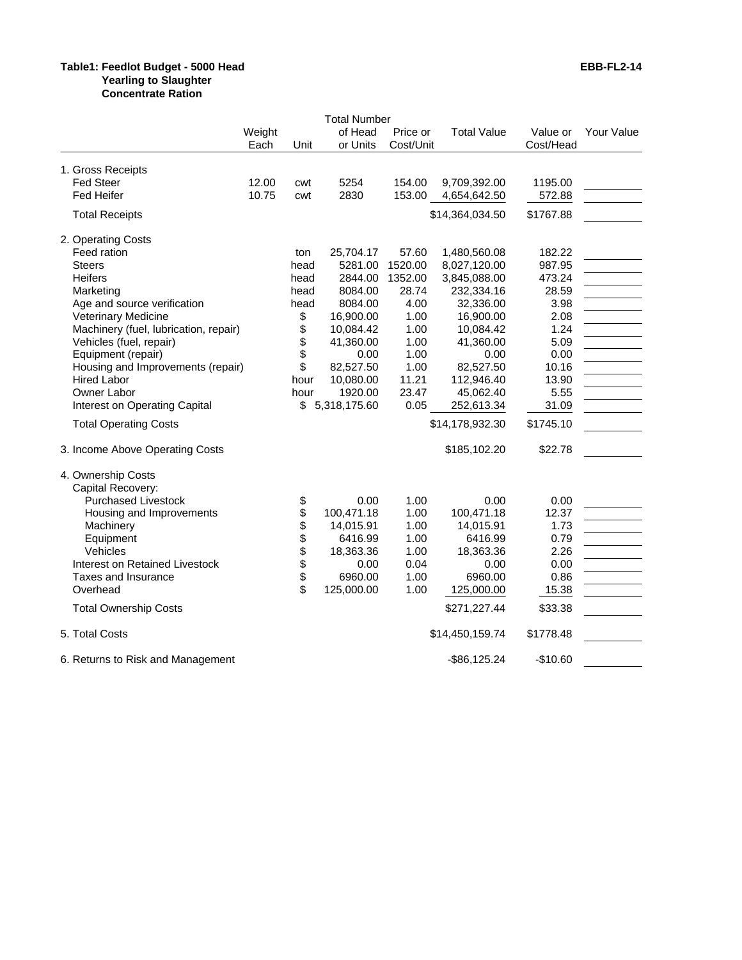#### **Table1: Feedlot Budget - 5000 Head EBB-FL2-14 Yearling to Slaughter**

**Concentrate Ration**

|                                       |        |              | <b>Total Number</b> |           |                    |           |            |
|---------------------------------------|--------|--------------|---------------------|-----------|--------------------|-----------|------------|
|                                       | Weight |              | of Head             | Price or  | <b>Total Value</b> | Value or  | Your Value |
|                                       | Each   | Unit         | or Units            | Cost/Unit |                    | Cost/Head |            |
|                                       |        |              |                     |           |                    |           |            |
| 1. Gross Receipts                     |        |              |                     |           |                    |           |            |
| <b>Fed Steer</b>                      | 12.00  | cwt          | 5254                | 154.00    | 9,709,392.00       | 1195.00   |            |
| <b>Fed Heifer</b>                     | 10.75  | cwt          | 2830                | 153.00    | 4,654,642.50       | 572.88    |            |
| <b>Total Receipts</b>                 |        |              |                     |           | \$14,364,034.50    | \$1767.88 |            |
| 2. Operating Costs                    |        |              |                     |           |                    |           |            |
| Feed ration                           |        | ton          | 25,704.17           | 57.60     | 1,480,560.08       | 182.22    |            |
| <b>Steers</b>                         |        | head         | 5281.00             | 1520.00   | 8,027,120.00       | 987.95    |            |
| <b>Heifers</b>                        |        | head         | 2844.00             | 1352.00   | 3,845,088.00       | 473.24    |            |
| Marketing                             |        | head         | 8084.00             | 28.74     | 232,334.16         | 28.59     |            |
| Age and source verification           |        | head         | 8084.00             | 4.00      | 32,336.00          | 3.98      |            |
| Veterinary Medicine                   |        | \$           | 16,900.00           | 1.00      | 16,900.00          | 2.08      |            |
| Machinery (fuel, lubrication, repair) |        | \$           | 10,084.42           | 1.00      | 10,084.42          | 1.24      |            |
| Vehicles (fuel, repair)               |        | \$           | 41,360.00           | 1.00      | 41,360.00          | 5.09      |            |
| Equipment (repair)                    |        | \$           | 0.00                | 1.00      | 0.00               | 0.00      |            |
| Housing and Improvements (repair)     |        | \$           | 82,527.50           | 1.00      | 82,527.50          | 10.16     |            |
| <b>Hired Labor</b>                    |        | hour         | 10,080.00           | 11.21     | 112,946.40         | 13.90     |            |
| Owner Labor                           |        | hour         | 1920.00             | 23.47     | 45,062.40          | 5.55      |            |
| Interest on Operating Capital         |        | \$           | 5,318,175.60        | 0.05      | 252,613.34         | 31.09     |            |
| <b>Total Operating Costs</b>          |        |              |                     |           | \$14,178,932.30    | \$1745.10 |            |
| 3. Income Above Operating Costs       |        |              |                     |           | \$185,102.20       | \$22.78   |            |
| 4. Ownership Costs                    |        |              |                     |           |                    |           |            |
| Capital Recovery:                     |        |              |                     |           |                    |           |            |
| <b>Purchased Livestock</b>            |        | \$           | 0.00                | 1.00      | 0.00               | 0.00      |            |
| Housing and Improvements              |        | \$           | 100,471.18          | 1.00      | 100,471.18         | 12.37     |            |
| Machinery                             |        |              | 14,015.91           | 1.00      | 14,015.91          | 1.73      |            |
| Equipment                             |        |              | 6416.99             | 1.00      | 6416.99            | 0.79      |            |
| Vehicles                              |        |              | 18,363.36           | 1.00      | 18,363.36          | 2.26      |            |
| Interest on Retained Livestock        |        | <b>88888</b> | 0.00                | 0.04      | 0.00               | 0.00      |            |
| Taxes and Insurance                   |        |              | 6960.00             | 1.00      | 6960.00            | 0.86      |            |
| Overhead                              |        | \$           | 125,000.00          | 1.00      | 125,000.00         | 15.38     |            |
| <b>Total Ownership Costs</b>          |        |              |                     |           | \$271,227.44       | \$33.38   |            |
| 5. Total Costs                        |        |              |                     |           | \$14,450,159.74    | \$1778.48 |            |
| 6. Returns to Risk and Management     |        |              |                     |           | $-$ \$86,125.24    | $-$10.60$ |            |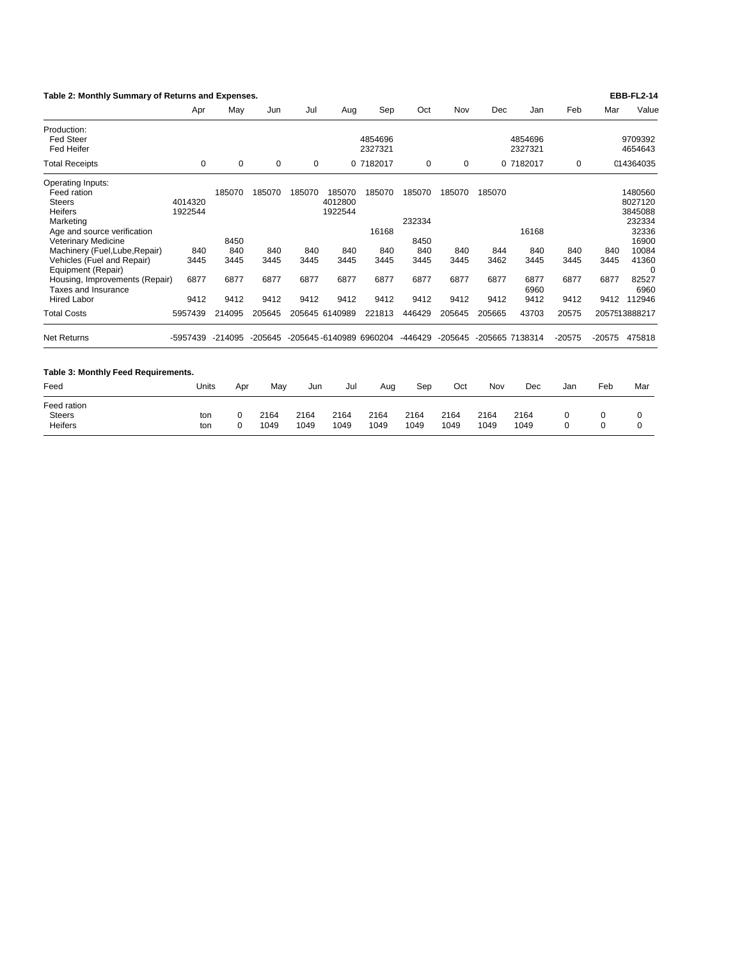| Table 2: Monthly Summary of Returns and Expenses.                                                                                                                               |                           |                       |                      |                      |                                     |                         |                                 |                      |                      |                              |                      |                      | <b>EBB-FL2-14</b>                                                  |
|---------------------------------------------------------------------------------------------------------------------------------------------------------------------------------|---------------------------|-----------------------|----------------------|----------------------|-------------------------------------|-------------------------|---------------------------------|----------------------|----------------------|------------------------------|----------------------|----------------------|--------------------------------------------------------------------|
|                                                                                                                                                                                 | Apr                       | May                   | Jun                  | Jul                  | Aug                                 | Sep                     | Oct                             | Nov                  | Dec                  | Jan                          | Feb                  | Mar                  | Value                                                              |
| Production:<br><b>Fed Steer</b><br><b>Fed Heifer</b>                                                                                                                            |                           |                       |                      |                      |                                     | 4854696<br>2327321      |                                 |                      |                      | 4854696<br>2327321           |                      |                      | 9709392<br>4654643                                                 |
| <b>Total Receipts</b>                                                                                                                                                           | 0                         | $\mathbf 0$           | $\mathbf 0$          | 0                    |                                     | 0 7182017               | 0                               | 0                    |                      | 0 7182017                    | 0                    |                      | 014364035                                                          |
| Operating Inputs:<br>Feed ration<br><b>Steers</b><br><b>Heifers</b><br>Marketing<br>Age and source verification<br><b>Veterinary Medicine</b><br>Machinery (Fuel, Lube, Repair) | 4014320<br>1922544<br>840 | 185070<br>8450<br>840 | 185070<br>840        | 185070<br>840        | 185070<br>4012800<br>1922544<br>840 | 185070<br>16168<br>840  | 185070<br>232334<br>8450<br>840 | 185070<br>840        | 185070<br>844        | 16168<br>840                 | 840                  | 840                  | 1480560<br>8027120<br>3845088<br>232334<br>32336<br>16900<br>10084 |
| Vehicles (Fuel and Repair)<br>Equipment (Repair)<br>Housing, Improvements (Repair)<br>Taxes and Insurance<br><b>Hired Labor</b>                                                 | 3445<br>6877<br>9412      | 3445<br>6877<br>9412  | 3445<br>6877<br>9412 | 3445<br>6877<br>9412 | 3445<br>6877<br>9412                | 3445<br>6877<br>9412    | 3445<br>6877<br>9412            | 3445<br>6877<br>9412 | 3462<br>6877<br>9412 | 3445<br>6877<br>6960<br>9412 | 3445<br>6877<br>9412 | 3445<br>6877<br>9412 | 41360<br>$\Omega$<br>82527<br>6960<br>112946                       |
| <b>Total Costs</b>                                                                                                                                                              | 5957439                   | 214095                | 205645               |                      | 205645 6140989                      | 221813                  | 446429                          | 205645               | 205665               | 43703                        | 20575                |                      | 2057513888217                                                      |
| <b>Net Returns</b>                                                                                                                                                              | -5957439                  | $-214095$             | -205645              |                      |                                     | -205645-6140989 6960204 | -446429                         | $-205645$            |                      | -205665 7138314              | $-20575$             | -20575               | 475818                                                             |
| Table 3: Monthly Feed Requirements.                                                                                                                                             |                           |                       |                      |                      |                                     |                         |                                 |                      |                      |                              |                      |                      |                                                                    |
| Feed                                                                                                                                                                            | Units                     | Apr                   | May                  | Jun                  | Jul                                 | Aug                     | Sep                             | Oct                  | Nov                  | Dec                          | Jan                  | Feb                  | Mar                                                                |
| Feed ration<br><b>Steers</b><br><b>Heifers</b>                                                                                                                                  | ton<br>ton                | $\Omega$<br>$\Omega$  | 2164<br>1049         | 2164<br>1049         | 2164<br>1049                        | 2164<br>1049            | 2164<br>1049                    | 2164<br>1049         | 2164<br>1049         | 2164<br>1049                 | 0<br>$\Omega$        | 0<br>$\Omega$        | 0<br>$\Omega$                                                      |